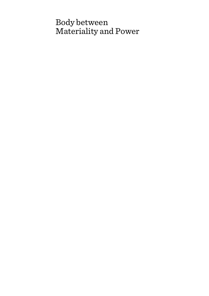# Body between Materiality and Power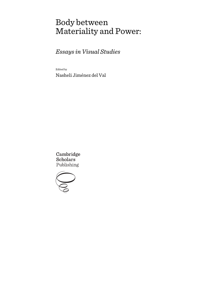# Body between Materiality and Power:

*Essays in Visual Studies* 

Edited by

Nasheli Jiménez del Val

Cambridge **Scholars** Publishing

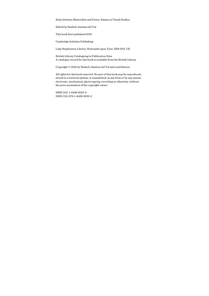Body between Materiality and Power: Essays in Visual Studies

Edited by Nasheli Jiménez del Val

This book first published 2016

Cambridge Scholars Publishing

Lady Stephenson Library, Newcastle upon Tyne, NE6 2PA, UK

British Library Cataloguing in Publication Data A catalogue record for this book is available from the British Library

Copyright © 2016 by Nasheli Jiménez del Val and contributors

All rights for this book reserved. No part of this book may be reproduced, stored in a retrieval system, or transmitted, in any form or by any means, electronic, mechanical, photocopying, recording or otherwise, without the prior permission of the copyright owner.

ISBN (10): 1-4438-9533-4 ISBN (13): 978-1-4438-9533-0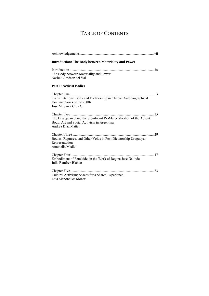# TABLE OF CONTENTS

| <b>Introduction: The Body between Materiality and Power</b>                                                                              |
|------------------------------------------------------------------------------------------------------------------------------------------|
| The Body between Materiality and Power<br>Nasheli Jiménez del Val                                                                        |
| <b>Part I: Activist Bodies</b>                                                                                                           |
| Transmutations: Body and Dictatorship in Chilean Autobiographical<br>Documentaries of the 2000s<br>José M. Santa Cruz G.                 |
| The Disappeared and the Significant Re-Materialization of the Absent<br>Body: Art and Social Activism in Argentina<br>Andrea Díaz Mattei |
| Bodies, Ruptures, and Other Voids in Post-Dictatorship Uruguayan<br>Representation<br>Antonella Medici                                   |
| Embodiment of Femicide in the Work of Regina José Galindo<br>Julia Ramírez Blanco                                                        |
| Cultural Activism: Spaces for a Shared Experience<br>Laia Manonelles Moner                                                               |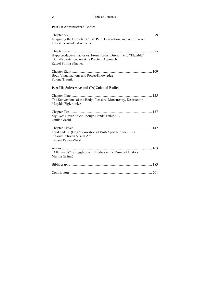### **Part II: Administered Bodies**

| Imagining the Uprooted Child: Pain, Evacuation, and World War II<br>Leticia Fernández-Fontecha |  |
|------------------------------------------------------------------------------------------------|--|
|                                                                                                |  |
|                                                                                                |  |
| Hyperproductive Factories: From Fordist Discipline to "Flexible"                               |  |
| (Self) Exploitation. An Arts Practice Approach                                                 |  |
| Rafael Pinilla Sánchez                                                                         |  |
|                                                                                                |  |
| Body Visualizations and Power/Knowledge                                                        |  |
| Polona Tratnik                                                                                 |  |
|                                                                                                |  |
| Part III: Subversive and (De)Colonial Bodies                                                   |  |
|                                                                                                |  |
| The Subversions of the Body: Pleasure, Monstrosity, Destruction                                |  |
| Matylda Figlerowicz                                                                            |  |
|                                                                                                |  |
|                                                                                                |  |
| My Eyes Haven't Got Enough Hands: Exhibit B                                                    |  |
| Giulia Grechi                                                                                  |  |
|                                                                                                |  |
| Food and the (De)Colonization of Post-Apartheid Identities                                     |  |
| in South African Visual Art                                                                    |  |
| Tatjana Pavlov-West                                                                            |  |
|                                                                                                |  |
|                                                                                                |  |
| "Afterwards": Struggling with Bodies in the Dump of History                                    |  |
| Marina Gržinić                                                                                 |  |
|                                                                                                |  |
|                                                                                                |  |
|                                                                                                |  |
|                                                                                                |  |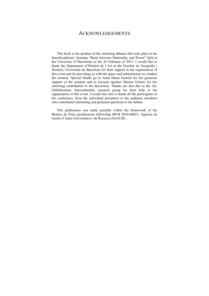### ACKNOWLEDGEMENTS

This book is the product of the enriching debates that took place at the Interdisciplinary Seminar "Body between Materiality and Power" held at the University of Barcelona on the 26 February of 2013. I would like to thank the Department d'Història de l'Art at the Facultat de Geografia i Història, Universitat de Barcelona for their support in the organization of this event and for providing us with the space and infrastructure to conduct the seminar. Special thanks go to Anna Maria Guasch for her generous support of the seminar and to keynote speaker Marina Gržinić for her enriching contribution to the discussion. Thanks are also due to the Art, Globalization, Interculturality research group for their help in the organization of this event. I would also like to thank all the participants in the conference, from the individual presenters to the audience members who contributed interesting and pertinent questions to the debate.

This publication was made possible within the framework of the Beatriu de Pinós postdoctoral fellowship BP-B 2010-00021, Agència de Gestió d'Ajuts Universitaris i de Recerca (AGAUR).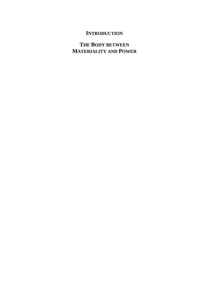### **INTRODUCTION**

## **THE BODY BETWEEN MATERIALITY AND POWER**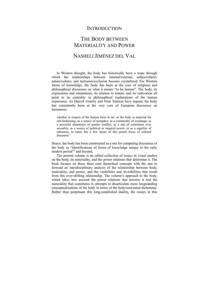### **INTRODUCTION**

# THE BODY BETWEEN MATERIALITY AND POWER NASHELI JIMÉNEZ DEL VAL

 In Western thought, the body has historically been a trope through which the relationships between internal/external, subject/object, nature/culture, and inclusion/exclusion become crystallized. For Western forms of knowledge, the body has been at the core of religious and philosophical discourses on what it means "to be human". The body, its expressions and emanations, its relation to nature, and its cultivation all point to its centrality in philosophical explanations of the human experience. As Darryll Grantly and Nina Taunton have argued, the body has consistently been at the very core of European discourses on humanism:

whether in respect of the human form in art, or the body as material for self-fashioning, as a source of metaphor, as a commodity of exchange, as a powerful dimension of gender conflict, as a site of contention over sexuality, as a source of political or magical power, or as a signifier of otherness, to name but a few facets of this potent focus of cultural discourse.<sup>1</sup>

Hence, the body has been constructed as a site for competing discourses of the body as "identifications of forms of knowledge unique to the early modern period"<sup>2</sup> and beyond.

 The present volume is an edited collection of essays in visual studies on the body, its materiality, and the power relations that determine it. The book focuses on these three core theoretical concepts with the aim to forward an interdisciplinary analysis of the relationship between body, materiality, and power, and the visibilities and invisibilities that result from this ever-shifting relationship. The volume's approach to the body, which takes into account the power relations that traverse it and the materiality that constitutes it, attempts to disarticulate more longstanding conceptualizations of the body in terms of the body/soul-mind dichotomy. Rather than perpetuate this long-established duality, the essays in this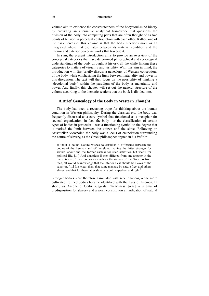volume aim to evidence the constructedness of the body/soul-mind binary by providing an alternative analytical framework that questions the division of the body into competing parts that are often thought of as two points of tension in perpetual contradiction with each other. Rather, one of the basic tenets of this volume is that the body functions more as an integrated whole that oscillates between its material condition and the interior and exterior power networks that traverse it.

 In sum, the present introduction aims to provide an overview of the conceptual categories that have determined philosophical and sociological understandings of the body throughout history, all the while linking these categories to matters of visuality and visibility. With this aim in mind, the introduction will first briefly discuss a genealogy of Western conceptions of the body, while emphasizing the links between materiality and power in this discussion. The text will then focus on the possibility of thinking a "decolonial body" within the paradigm of the body as materiality and power. And finally, this chapter will set out the general structure of the volume according to the thematic sections that the book is divided into.

#### **A Brief Genealogy of the Body in Western Thought**

 The body has been a recurring trope for thinking about the human condition in Western philosophy. During the classical era, the body was frequently discussed as a core symbol that functioned as a metaphor for societal organization; in fact, the body—or the classification of certain types of bodies in particular—was a functioning symbol to the degree that it marked the limit between the citizen and the slave. Following an Aristotelian viewpoint, the body was a locus of enunciation surrounding the nature of slavery, as the Greek philosopher argued in his *Politics*:

Without a doubt, Nature wishes to establish a difference between the bodies of the freeman and of the slave, making the latter stronger for servile labour and the former useless for such activities, but useful for political life. […] And doubtless if men differed from one another in the mere forms of their bodies as much as the statues of the Gods do from men, all would acknowledge that the inferior class should be slaves of the superior. [...] It is clear, then, that some men are by nature free, and others slaves, and that for these latter slavery is both expedient and right.<sup>3</sup>

Stronger bodies were therefore associated with servile labour, while more cultivated, refined bodies became identified with the lives of freemen. In short, as Antonello Gerbi suggests, "heartiness [was] a stigma of predisposition for slavery and a weak constitution an indication of natural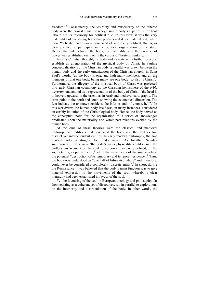freedom".<sup>4</sup> Consequently, the visibility and muscularity of the othered body were the easiest signs for recognising a body's superiority for hard labour, but its inferiority for political rule. In this view, it was the very materiality of the strong body that predisposed it for material toil, while more "delicate" bodies were conceived of as directly political, that is, as clearly suited to participate in the political organization of the state. Hence, the link between the body, its materiality, and the exercise of power was established early on in the corpus of Western thinking.

 In early Christian thought, the body and its materiality further served to establish an allegorization of the mystical body of Christ. In Pauline conceptualizations of the Christian body, a parallel was drawn between the human body and the early organization of the Christian church; in Saint Paul's words, "as the body is one, and hath many members, and all the members of that one body, being many, are one body: so also is Christ".<sup>5</sup> Furthermore, the allegory of the mystical body of Christ was projected into early Christian cosmology as the Christian hemisphere of the *orbis terrarum* understood as a representation of the body of Christ: "the head is in heaven, upward, to the orient, as in Arab and medieval cartography. The arms point to the north and south, showing the ecumenical dimension. The feet indicate the unknown occident, the inferior and, of course, hell".<sup>6</sup> In this worldview, the human body itself was, in many instances, considered an earthly imitation of the Christological body. Hence, the body served as *the* conceptual node for the organization of a series of knowledges predicated upon the materiality and whole-part relations evoked by the human body.

 At the crux of these theories were the classical and medieval philosophical traditions that conceived the body and the soul as two distinct yet interdependent entities. In early modern philosophy, the two existed under a struggle for predominance. As Jonathan Sawday summarizes, in this view "the body's gross physicality could ensure the endless enslavement of the soul to corporeal existence, defined, in the soul's terms, as punishment",<sup>7</sup> while the movements of the soul involved the potential "destruction of its temporary and temporal residence".<sup>8</sup> Thus, the body was understood as "one half of bifurcated whole" and, therefore, could never be considered a completely "discrete entity".<sup>9</sup> In short, during the Renaissance it was believed that the body's main function was to give material expression to the movements of the soul, whereby a clear hierarchy had been established in favour of the soul.

 Yet the favouring of the soul in European theology and philosophy, far from existing as a coherent set of discourses, ran in parallel to explorations on the interiority and disarticulation of the body. In other words, the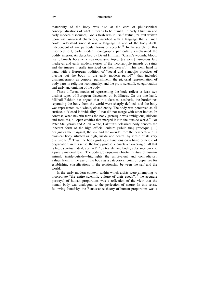#### xiv Introduction

materiality of the body was also at the core of philosophical conceptualizations of what it means to be human. In early Christian and early modern discourses, God's flesh was in itself textual, "a text written upon with universal characters, inscribed with a language that all men could understand since it was a language in and of the body itself, independent of any particular forms of speech".<sup>10</sup> In the search for this inscribed text, early modern iconography particularly emphasized the bodily interior. As described by David Hillman, "Christ's wounds, blood, heart, bowels became a near-obsessive topic, [as were] numerous late medieval and early modern stories of the incorruptible innards of saints and the images literally inscribed on their hearts<sup>", 11</sup> This went hand in hand with a European tradition of "social and symbolic practices of piecing out the body in the early modern period"<sup>12</sup> that included dismemberment as corporal punishment, the pictorial representation of body parts in religious iconography, and the proto-scientific categorization and early anatomizing of the body.

 These different modes of representing the body reflect at least two distinct types of European discourses on bodiliness. On the one hand, Mikhail Bakhtin has argued that in a classical aesthetic, the borderlines separating the body from the world were sharply defined, and the body was represented as a whole, closed entity. The body was perceived as all surface, a "closed individuality"<sup>13</sup> that did not merge with other bodies. In contrast, what Bakhtin terms the body grotesque was ambiguous, hideous and formless, all open cavities that merged it into the outside world.<sup>14</sup> For Peter Stallybrass and Allon White, Bakhtin's "classical body denotes the inherent form of the high official culture [while the] grotesque […] designates the marginal, the low and the outside from the perspective of a classical body situated as high, inside and central by virtue of its very exclusions".<sup>15</sup> Thus, the body grotesque functions on a basic principle of degradation; in this sense, the body grotesque enacts a "lowering of all that is high, spiritual, ideal, abstract<sup> $16$ </sup> by transferring bodily substance back to a purely material level. The body grotesque—a chaotic mixture of humananimal, inside-outside—highlights the ambivalent and contradictory values latent in the use of the body as a categorical point of departure for establishing classifications in the relationship between the self and the world.

 In the early modern context, within which artists were attempting to incorporate "the entire scientific culture of their epoch",<sup>17</sup> the accurate portrayal of human proportions was a reflection of the view that the human body was analogous to the perfection of nature. In this sense, following Panofsky, the Renaissance theory of human proportions was a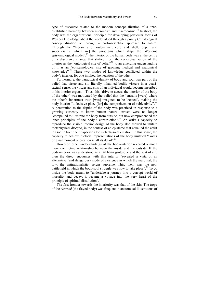type of discourse related to the modern conceptualization of a "preestablished harmony between microcosm and macrocosm".18 In short, the body was the organizational principle for developing particular forms of Western knowledge about the world, albeit through a purely Christological conceptualisation or through a proto-scientific approach to nature. Through the "hierarchy of outer-inner, core and shell, depth and superficiality [which are] the paradigms which shape the [Western] epistemological model",<sup>19</sup> the interior of the human body was at the centre of a discursive change that shifted from the conceptualization of the interior as the "ontological site of belief"<sup>20</sup> to an emerging understanding of it as an "epistemological site of growing medical and anatomical knowledge".21 These two modes of knowledge conflicted within the body's interior, for one implied the negation of the other.

 Furthermore, the paradoxical duality of body and soul was part of the belief that virtue and sin literally inhabited bodily viscera in a quasitextual sense: the virtues and sins of an individual would become inscribed in his interior organs.<sup>22</sup> Thus, this "drive to access the interior of the body" of the other" was motivated by the belief that the "entrails [were] where the other's innermost truth [was] imagined to be located", making the body interior "a decisive place [for] the comprehension of subjectivity".<sup>23</sup> A penetration to the depths of the body was practiced in response to a growing curiosity to know human nature. Artists were no longer "compelled to illustrate the body from outside, but now comprehended the inner principles of the body's construction".<sup>24</sup> An artist's capacity to reproduce the visible interior design of the body also aspired to imitate metaphysical *disegno*, in the context of an episteme that equalled the artist to God in both their capacities for metaphysical creation. In this sense, the capacity to achieve pictorial representations of the body imitated "God's original moment of creation in all its detail".25

 However, other understandings of the body-interior revealed a much more conflictive relationship between the inside and the outside. If the body-interior was understood as a Bakhtian grotesque and the seat of sin, then the direct encounter with this interior "revealed a vista of an alternative (and dangerous) mode of existence in which the marginal, the low, the antirationalistic, reigns supreme. This, then, was the new battlefield in which the body-soul struggle was now to take place".<sup>26</sup> To go inside the body meant to "undertake a journey into a corrupt world of mortality and decay; it became a voyage into the very heart of the principle of spiritual dissolution".<sup>27</sup>

 The first frontier towards the interiority was that of the skin. The trope of the *écorché* (the flayed body) was frequent in anatomical illustrations of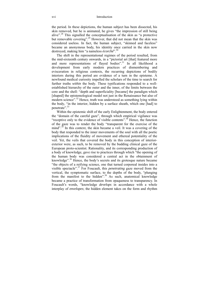#### xvi Introduction

the period. In these depictions, the human subject has been dissected, his skin removed, but he is animated, he gives "the impression of still being alive".28 This signalled the conceptualisation of the skin as "a protective but removable covering".<sup>29</sup> However, that did not mean that the skin was considered useless. In fact, the human subject, "skinned and faceless" became an anonymous body, his identity once carried in the skin now destroyed, making him "a nameless *écorché*".<sup>30</sup>

 The shift in the representational regimes of the period resulted, from the mid-sixteenth century onwards, in a "pictorial art [that] featured more and more representations of flayed bodies".<sup>31</sup> In all likelihood a development from early modern practices of dismembering and evisceration in religious contexts, the recurring depictions of bodily interiors during this period are evidence of a turn in the episteme. A newfound medical curiosity impelled the scholars of the time to search for further truths *within* the body. These typifications responded to a wellestablished hierarchy of the outer and the inner, of the limits between the core and the shell: "depth and superficiality [became] the paradigm which [shaped] the epistemological model not just in the Renaissance but also of modern science".<sup>32</sup> Hence, truth was understood as something lying within the body, "in the interior, hidden by a surface sheath, which one [had] to penetrate".<sup>33</sup>

 Within the epistemic shift of the early Enlightenment, the body entered the "domain of the careful gaze", through which empirical vigilance was "receptive only to the evidence of visible contents".<sup>34</sup> Hence, the function of the gaze was to render the body "transparent for the exercise of the mind".<sup>35</sup> In this context, the skin became a veil. It was a covering of the body that responded to the inner movements of the soul with all the poetic implications of the fluidity of movement and ethereal potentiality of the veil. Yet, the veils that covered the body in this conception of interiorexterior were, as such, to be removed by the budding clinical gaze of the European proto-scientist. Rationality, and its corresponding production of a body of knowledge, gave rise to practices through which "the opening of the human body was considered a central act in the obtainment of knowledge".36 Hence, the body's secrets and its grotesque nature became "the objects of a reifying science, one that turned corporeal insides into a visible spectacle".37 For Foucault, this *penetrating* gaze moved from the vertical, the symptomatic surface, to the depths of the body, "plunging from the manifest to the hidden".<sup>38</sup> As such, anatomical knowledge became a practice of transformation from opaqueness to transparency. In Foucault's words, "knowledge *develops* in accordance with a whole interplay of *envelopes*; the hidden element takes on the form and rhythm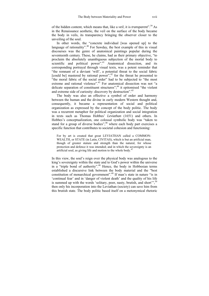of the hidden content, which means that, like a *veil*, it is *transparent*".39 As in the Renaissance aesthetic, the veil on the surface of the body became the body in veils, its transparency bringing the observer closer to the unveiling of the soul.

In other words, the "concrete individual [was opened up] to the language of rationality".<sup>40</sup> For Sawday, the best example of this in visual discourses was the genre of anatomical paintings popular during the seventeenth century. These, he claims, had as their primary objective, "to proclaim the absolutely unambiguous subjection of the mortal body to scientific and political power".<sup>41</sup> Anatomical dissection, and its corresponding portrayal through visual texts, was a potent reminder that "the remnant of a deviant 'will', a potential threat to the social fabric [could be] mastered by rational power",<sup>42</sup> for the threat he presented to "the moral fabric of the social order" had to be subjected to "the most extreme and rational violence".<sup>43</sup> For anatomical dissection was not "a delicate separation of constituent structures";44 it epitomised "the violent and extreme side of curiosity: discovery by destruction".45

The body was also an effective a symbol of order and harmony between the human and the divine in early modern Western thought and, consequently, it became a representation of social and political organization as expressed by the concept of the body politic. The body was a recurrent metaphor for political organization and social integration in texts such as Thomas Hobbes' *Leviathan* (1651) and others. In Hobbes's conceptualization, one colossal symbolic body was "taken to stand for a group of diverse bodies",<sup>46</sup> where each body part exercises a specific function that contributes to societal cohesion and functioning:

For by art is created that great LEVIATHAN called a COMMON-WEALTH, or STATE (in Latin, CIVITAS), which is but an artificial man, though of greater stature and strength than the natural, for whose protection and defence it was intended; and in which the sovereignty is an artificial soul, as giving life and motion to the whole body.47

In this view, the soul's reign over the physical body was analogous to the king's sovereignty within the state and to God's power within the universe in a "triple bond of authority".<sup>48</sup> Hence, the body in Hobbesian terms established a discursive link between the body material and the "best constitution of monarchical government".<sup>49</sup> If man's state in nature "is in 'continual fear' and in 'danger of violent death' and the quality of his life is summed up with the words 'solitary, poor, nasty, brutish, and short'",<sup>50</sup> then only his incorporation into the Leviathan (society) can save him from this brutish state. The body politic based itself on a metonymical rhetoric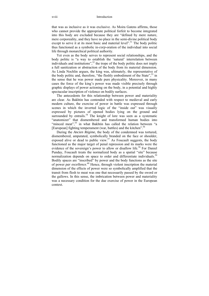#### xviii Introduction

that was as inclusive as it was exclusive. As Moira Gatens affirms, those who cannot provide the appropriate political forfeit to become integrated into this body are excluded because they are "defined by mere nature, mere corporeality, and they have no place in the semi-divine political body except to serve it at its most basic and material level".<sup>51</sup> The body politic thus functioned as a symbolic in-*corp*-oration of the individual into social life through monarchical political authority.

 Yet even as the body serves to represent social relationships, and the body politic is "a way to establish the 'natural' interrelation between individuals and institutions",  $52$  the trope of the body politic does not imply a full sanitization or abstraction of the body from its material dimension. As Linda Nochlin argues, the king was, ultimately, the representative of the body politic and, therefore, "the fleshly embodiment of the State".<sup>53</sup> in the sense that he was power made pure physicality. Moreover, in many cases the force of the king's power was made visible precisely through graphic displays of power actioning on the body, in a potential and highly spectacular inscription of violence on bodily surfaces.

 The antecedents for this relationship between power and materiality are clear. As Bakhtin has contended with respect to medieval and early modern culture, the exercise of power in battle was expressed through scenes in which the inverted logic of the "inside out" was visually expressed by pictures of opened bodies lying on the ground and surrounded by entrails.<sup>54</sup> The knight of lore was seen as a systematic "anatomizer" that dismembered and transformed human bodies into "minced meat",<sup>55</sup> in what Bakhtin has called the relation between "a [European] fighting temperament (war, battles) and the kitchen<sup>".56</sup>

 During the *Ancien Régime*, the body of the condemned was tortured, dismembered, amputated, symbolically branded on the face or shoulder, exposed alive or dead to public view.<sup>57</sup> As Foucault suggests, the body functioned as the major target of penal repression and its marks were the evidence of the sovereign's power to allow or disallow life.<sup>58</sup> For Daniel Punday, Foucault treats the normalized body as a spatial "site" because normalization depends on space to order and differentiate individuals.<sup>59</sup> Bodily spaces are "inscribed" by power and the body functions as the site of power *par excellence*. 60 Hence, through violent inscription the material dimension of the effects of power were so symbolically amplified that the transit from flesh to meat was one that necessarily passed by the sword or the gallows. In this sense, the imbrication between power and materiality was a necessary condition for the due exercise of power in the European context.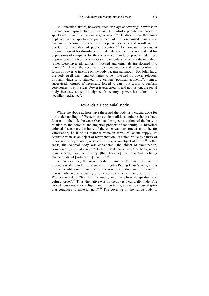As Foucault clarifies, however, such displays of sovereign power soon became counterproductive in their aim to control a population through a spectacularly punitive system of governance.<sup> $61$ </sup> He stresses that the power deployed in the spectacular punishment of the condemned man would eventually become invested with popular practices and result in the overturn of the ritual of public execution. $62$  As Foucault explains, it became frequent for disturbances to take place around the scaffold and for expressions of sympathy for the condemned man to be proclaimed. These popular practices fed into episodes of momentary saturnalia during which "rules were inverted, authority mocked and criminals transformed into heroes".<sup>63</sup> Hence, the need to implement subtler and more controlling forms of power to inscribe on the body became paramount. For John Tagg, the body itself was—and continues to be—invested by power relations through which it is situated in a certain "political economy", trained, supervised, tortured if necessary, forced to carry out tasks, to perform ceremonies, to emit signs. Power is exercised in, and not just on, the social body because, since the eighteenth century, power has taken on a "capillary existence".<sup>64</sup>

#### **Towards a Decolonial Body**

 While the above authors have theorized the body as a crucial trope for the understanding of Western epistemic traditions, other scholars have focused on the links between Occidentalizing constructions of the body in relation to the colonial and imperial projects of modernity. In historical colonial discourses, the body of the other was constructed as a site for valorisation, be it of its material value in terms of labour supply, its aesthetic value as an object of representation, its ethical value as a mark of innocence or degradation, or its erotic value as an object of desire.<sup>65</sup> In this sense, the colonial body was considered "the object of examination, commentary, and valorisation" to the extent that it was "the body, rather than speech, law, or history [that became] the essential defining characteristic of [indigenous] peoples".<sup>66</sup>

 As an example, the naked body became a defining trope in the production of the indigenous subject. In Sofia Reding Blase's view, it was the first visible quality assigned to the American native and, furthermore, it was mobilized as a quality of otherness as it became an excuse for the Western world to "transfer this nudity into the physical, spiritual and cultural order".67 Thus, the native was physically *and* culturally nude; s/he lacked "customs, rites, religion and, importantly, an entrepreneurial spirit that conduces to material gain".68 The covering of the native body in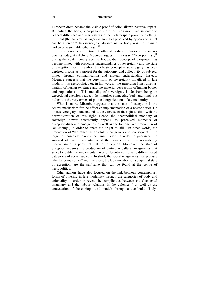European dress became the visible proof of colonialism's positive impact. By hiding the body, a propagandistic effort was mobilized in order to "cancel difference and bear witness to the metamorphic power of clothing, [...] that [the native's] savagery is an effect produced by appearances that can be altered".<sup>69</sup> In essence, the dressed native body was the ultimate "token of assimilable otherness"  $70$ 

 The colonial construction of othered bodies in Western discourses persists today. As Achille Mbembe argues in his essay "Necropolitics".<sup>71</sup> during the contemporary age the Foucauldian concept of bio-power has become linked with particular understandings of sovereignty and the state of exception. For this author, the classic concept of sovereignty has been depleted insofar as a project for the autonomy and collectivity of subjects linked through communication and mutual understanding. Instead, Mbembe suggests that the core form of sovereignty mobilized in late modernity is necropolitics or, in his words, "the generalized instrumentalization of human existence and the material destruction of human bodies and populations".<sup>72</sup> This modality of sovereignty is far from being an exceptional excision between the impulses connecting body and mind, but rather it is the very *nomos* of political organization in late modernity.

 What is more, Mbembe suggests that the state of exception is the central mechanism for the effective implementation of a necropolitics. He links sovereignty—understood as the exercise of the right to kill—with the normativization of this right. Hence, the necropolitical modality of sovereign power consistently appeals to perceived moments of exceptionalism and emergency, as well as the fictionalized production of "an enemy", in order to enact the "right to kill". In other words, the production of "the other" as absolutely dangerous and, consequently, the target of complete biophysical annihilation in order to guarantee the survival of the collectivity, is at the very core of the normalizing mechanism of a perpetual state of exception. Moreover, the state of exception requires the production of particular cultural imaginaries that serve to justify the implementation of differentiated rights to differentiated categories of social subjects. In short, the social imaginaries that produce "the dangerous other" and, therefore, the legitimization of a perpetual state of exception, are the self-same that can be found at the centre of necropolitics.

 Other authors have also focused on the link between contemporary forms of othering in late modernity through the categories of body and coloniality in order to reveal the complicities between the Occidental imaginary and the labour relations in the colonies,  $\frac{73}{1}$  as well as the contestation of these biopolitical models through a decolonial "body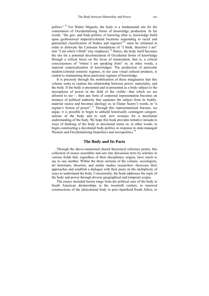politics".74 For Walter Mignolo, the body is a fundamental site for the contestation of Occidentalizing forms of knowledge production. In his words, "the geo- and body-politics of knowing (that is, knowledge build upon geohistorical imperial/colonial locations responding to racial and patriarchal classification of bodies and regions)<sup> $\frac{75}{5}$ </sup> must be reframed in order to dislocate the Cartesian foundations of "I think, therefore I am" into "*I am where I think*" (my emphasis).<sup>76</sup> Hence, the body itself becomes the site for a potential decolonization of Occidental forms of knowledge through a critical focus on the locus of enunciation, that is, a critical consciousness of "where I am speaking from" or, in other words, a material corporealization of knowledges. The production of particular modern/colonial semiotic regimes, in our case visual cultural products, is central to maintaining these particular regimes of knowledge.

 It is precisely through the mobilization of these imaginaries that this volume seeks to explore the relationship between power, materiality, and the body. If the body is presented and re-presented as a body subject to the inscriptions of power in the field of the visible—that which we are *allowed* to see—, then any form of corporeal representation becomes an instance of political authority that separates the subject from its bodilymaterial source and becomes ideology or, in Elaine Scarry's words, in "a regime's fiction of power".77 Through this representational fracture, we argue, it is possible to begin to unbuild historically contingent categorizations of the body and to seek new avenues for a decolonial understanding of the body. We hope this book provides tentative inroads to ways of thinking of the body in decolonial terms or, in other words, to begin constructing a decolonial body-politics in response to state-managed Western and Occidentalizing biopolitics and necropolitics.<sup>78</sup>

#### **The Body and Its Parts**

 Through the above-mentioned shared theoretical reference points, this collection of essays assembles and sets into discussion texts by scholars in various fields that, regardless of their disciplinary origins, have much to say to one another. Within the three sections of the volume, sociologists, art historians, theorists, and media studies researchers showcase their approaches and establish a dialogue with their peers on the multiplicity of ways to understand the body. Concurrently, the book addresses the topic of the body and power through diverse geographical and temporal scopes.

 The essays included herein range from the political uses of the body in South American dictatorships in the twentieth century, to renewed constructions of the (de)colonial body in post-Apartheid South Africa, to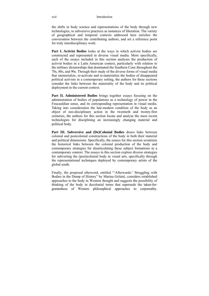the shifts in body science and representations of the body through new technologies, to subversive practices as instances of liberation. The variety of geographical and temporal contexts addressed here enriches the conversation between the contributing authors, and set a reference point for truly interdisciplinary work:

**Part I. Activist Bodies** looks at the ways in which activist bodies are constructed and represented in diverse visual media. More specifically, each of the essays included in this section analyses the production of activist bodies in a Latin American context, particularly with relation to the military dictatorships that dominated the Southern Cone throughout the 70s, 80s, and 90s. Through their study of the diverse forms of visual media that memorialize, re-activate and re-materialize the bodies of disappeared political activists in a contemporary setting, the authors for these sections consider the links between the materiality of the body and its political deployment in the current context.

**Part II. Administered Bodies** brings together essays focusing on the administration of bodies of populations as a technology of power in the Foucauldian sense, and its corresponding representation in visual media. Taking into consideration the late-modern condition of the body as an object of neo-disciplinary action in the twentieth and twenty-first centuries, the authors for this section locate and analyse the most recent technologies for disciplining an increasingly changing material and political body.

**Part III. Subversive and (De)Colonial Bodies** draws links between colonial and postcolonial constructions of the body in both their material and political dimensions. Specifically, the essays for this section scrutinize the historical links between the colonial production of the body and contemporary strategies for disarticulating these subject formations in a contemporary context. The essays in this section explore diverse strategies for subverting the (post)colonial body in visual arts, specifically through the representational techniques deployed by contemporary artists of the global south.

Finally, the proposed afterword, entitled "'Afterwards:' Struggling with Bodies in the Dump of History" by Marina Gržinić, considers established approaches to the body in Western thought and suggests the possibility of thinking of the body in decolonial terms that supersede the taken-forgrantedness of Western philosophical approaches to corporeality.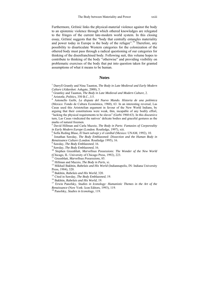Furthermore, Gržinić links the physical-material violence against the body to an epistemic violence through which othered knowledges are relegated to the fringes of the current late-modern world system. In this closing essay, Gržinić suggests that the "body that centrally entangles materiality and power today in Europe is the body of the refugee".<sup>79</sup> Therefore, any possibility to disarticulate Western categories for the colonization of the othered body must pass through a radical questioning of our categories for thinking of the disenfranchised body. Following suit, this volume hopes to contribute to thinking of the body "otherwise" and providing visibility on problematic exercises of the body that put into question taken for granted assumptions of what it means to be human.

#### **Notes**

<sup>1</sup> Darryll Grantly and Nina Taunton, *The Body in Late Medieval and Early Modern Culture* (Aldershot: Ashgate, 2000), 5.

- <sup>2</sup> Grantley and Taunton, *The Body in Late Medieval and Modern Culture*, 2.<sup>3</sup> Aristotle. *Politics*. 350 B.C., 1:5.
- 

 Aristotle, *Politics*, 350 B.C., I:5. 4 Antonello Gerbi, *La disputa del Nuevo Mundo. Historia de una polémica* (Mexico: Fondo de Cultura Económica, 1960), 63. In an interesting reversal, Las Casas used this Aristotelian argument in favour of the New World Indians, by arguing that their constitutions were weak, thin, incapable of any bodily effort, "lacking the physical requirements to be slaves" (Gerbi 1960:63). In this discursive turn, Las Casas vindicated the natives' delicate bodies and graceful gestures as the marks of natural freemen.

5 David Hillman and Carla Mazzio, *The Body in Parts: Fantasies of Corporeality in Early Modern Europe* (London: Routledge, 1997), xiii.

Sofía Reding Blase, *El buen salvaje y el caníbal* (Mexico: UNAM, 1992), 10. 7

 Jonathan Sawday, *The Body Emblazoned: Dissection and the Human Body in Renaissance Culture* (London: Routledge 1995), 16.

<sup>8</sup> Sawday, *The Body Emblazoned*, 16.<br><sup>9</sup> Sawday, *The Body Emblazoned*, 16.

<sup>10</sup> Stephen Greenblatt, *Marvellous Possessions: The Wonder of the New World* (Chicago, IL: University of Chicago Press, 1992), 223.

<sup>11</sup> Greenblatt, *Marvellous Possessions*, 85.<br><sup>12</sup> Hillman and Mazzio, *The Body in Parts*, xi. 13<br><sup>13</sup> Mikhail Bakhtin, *Rabelais and His World* (Indiannapolis, IN: Indiana University Press, 1984), 320.

<sup>14</sup> Bakhtin, *Rabelais and His World*, 320.<br><sup>15</sup> Cited in Sawday, *The Body Emblazoned*, 19.<br><sup>16</sup> Bakhtin, *Rabelais and His World*, 19.<br><sup>17</sup> Erwin Panofsky, *Studies in Iconology: Humanistic Themes in the Art of the Ren* 

<sup>18</sup> Panofsky, *Studies in Iconology*, 119.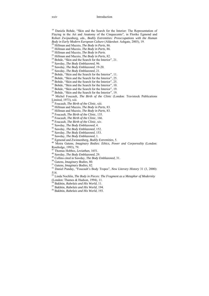<sup>19</sup> Daniela Bohde, "Skin and the Search for the Interior: The Representation of Flaying in the Art and Anatomy of the Cinquecento", in Florike Egmond and Robert Zwijnenberg, eds., *Bodily Extremities: Preoccupations with the Human* 

- 
- 
- 
- 
- <sup>20</sup> Hillman and Mazzio, *The Body in Parts*, 86.<br><sup>21</sup> Hillman and Mazzio, *The Body in Parts*, 86.<br><sup>22</sup> Hillman and Mazzio, *The Body in Parts*.<br><sup>23</sup> Hillman and Mazzio, *The Body in Parts*, 82.<br><sup>24</sup> Bohde, "Skin and the
- 
- <sup>26</sup> Sawday, *The Body Emblazoned*, 19-20.<br><sup>27</sup> Sawday, *The Body Emblazoned*, 21.<br><sup>28</sup> Bohde. "Skin and the Search for the Interior", 11.
- 
- 
- 29 Bohde, "Skin and the Search for the Interior", 25.
- <sup>30</sup> Bohde, "Skin and the Search for the Interior", 25.
- $31$  Bohde, "Skin and the Search for the Interior", 10.
- <sup>32</sup> Bohde, "Skin and the Search for the Interior", 19.
- <sup>33</sup> Bohde, "Skin and the Search for the Interior", 19.
- 34 Michel Foucault, *The Birth of the Clinic* (London: Travistock Publications Limited, 1973), xiii.<br><sup>35</sup> Foucault, *The Birth of the Clinic*, xiii.
- 
- 
- 
- 
- 
- 
- 
- 
- 
- 
- 
- <sup>35</sup> Foucault, *The Birth of the Clinic*, xiii.<br><sup>36</sup> Hillman and Mazzio, *The Body in Parts*, 83.<br><sup>37</sup> Hillman and Mazzio, *The Body in Parts*, 83.<br><sup>38</sup> Foucault, *The Birth of the Clinic*, 135.<br><sup>39</sup> Foucault, *The Birth* Routledge, 1993), 79.<br><sup>47</sup> Thomas Hobbes, *Leviathan*, 1651.
- 
- 
- 
- 
- 
- <sup>48</sup> Sawday, *The Body Emblazoned*, 29.<br><sup>49</sup> Collins cited in Sawday, *The Body Emblazoned*, 31.<br><sup>50</sup> Gatens, *Imaginary Bodies*, 80.<br><sup>51</sup> Gatens, *Imaginary Bodies*, 82.<br><sup>52</sup> Daniel Punday, "Foucault's Body Tropes", *New* 514.
- 53 Linda Nochlin, *The Body in Pieces: The Fragment as a Metaphor of Modernity*
- (London: Thames & Hudson, 1994), 11.<br> $^{54}$  Bakhtin, *Rabelais and His World*, 11.
- 
- <sup>55</sup> Bakhtin, *Rabelais and His World*, 194.<br><sup>56</sup> Bakhtin, *Rabelais and His World*, 193.
-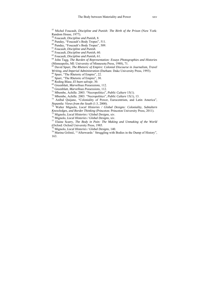57 Michel Foucault, *Discipline and Punish: The Birth of the Prison* (New York: Random House, 1977).<br><sup>58</sup> Foucault, *Discipline and Punish*, 8.

<sup>59</sup> Punday, "Foucault's Body Tropes", 511.

 $^{60}$  Punday, "Foucault's Body Tropes", 509.<br> $^{61}$  Foucault, *Discipline and Punish*.

61 Foucault, *Discipline and Punish*. 62 Foucault, *Discipline and Punish*, 60. 63 Foucault, *Discipline and Punish*, 61. 64 John Tagg, *The Burden of Representation: Essays Photographies and Histories* (Minneapolis, MI: University of Minnesota Press, 1988), 71.

65 David Spurr, *The Rhetoric of Empire: Colonial Discourse in Journalism, Travel Writing, and Imperial Administration* (Durham: Duke University Press, 1993). <sup>66</sup> Spurr, "The Rhetoric of Empire", 22.

 $^{67}$  Spurr, "The Rhetoric of Empire", 30.<br> $^{68}$  Reding Blase, *El buen salvaje*, 30.

<sup>69</sup> Greenblatt, *Marvellous Possessions*, 112.<br><sup>70</sup> Greenblatt, *Marvellous Possessions*, 112.<br><sup>71</sup> Mbembe, Achille. 2003. "Necropolitics", *Public Culture* 15(1).<br><sup>72</sup> Mbembe, Achille. 2003. "Necropolitics", *Public Cul* 

<sup>74</sup> Walter Mignolo, *Local Histories / Global Designs: Coloniality, Subtaltern Knowledges, and Border Thinking (Princeton: Princeton University Press, 2011).* 

<sup>75</sup> Mignolo, *Local Histories / Global Designs*, xiv.<br><sup>76</sup> Mignolo, *Local Histories / Global Designs*, xiv.<br><sup>77</sup> Elaine Scarry, *The Body in Pain: The Making and Unmaking of the World* (Oxford: Oxford University Press, 1985.<br><sup>78</sup> Mignolo, *Local Histories / Global Designs*, 140.

<sup>79</sup> Marina Gržinić, "'Afterwards:' Struggling with Bodies in the Dump of History", 163.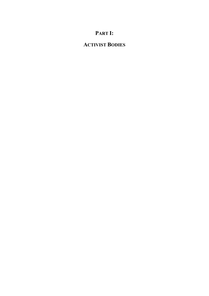# **PART I:**

# **ACTIVIST BODIES**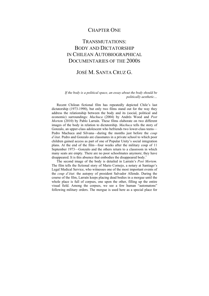### CHAPTER ONE

### TRANSMUTATIONS: BODY AND DICTATORSHIP IN CHILEAN AUTOBIOGRAPHICAL DOCUMENTARIES OF THE 2000S

### JOSÉ M. SANTA CRUZ G.

#### *If the body is a political space, an essay about the body should be politically aesthetic…*

 Recent Chilean fictional film has repeatedly depicted Chile's last dictatorship (1973-1990), but only two films stand out for the way they address the relationship between the body and its (social, political and economic) surroundings: *Machuca* (2004) by Andrés Wood and *Post Mortem* (2010) by Pablo Larraín. These films elaborate on two different images of the body in relation to dictatorship. *Machuca* tells the story of Gonzalo, an upper-class adolescent who befriends two lower-class teens— Pedro Machuca and Silvana—during the months just before the *coup d'état*. Pedro and Gonzalo are classmates in a private school to which poor children gained access as part of one of Popular Unity's social integration plans. At the end of the film—four weeks after the military coup of 11 September 1973—Gonzalo and the others return to a classroom in which many seats are empty. There are no poor schoolmates anymore; they have disappeared. It is this absence that embodies the disappeared body.<sup>1</sup>

 The second image of the body is detailed in Larraín's *Post Mortem.* The film tells the fictional story of Mario Cornejo, a notary at Santiago's Legal Medical Service, who witnesses one of the most important events of the *coup d'état*: the autopsy of president Salvador Allende. During the course of the film, Larraín keeps placing dead bodies in a morgue until the whole place is full of corpses, one upon the other, filling up the entire visual field. Among the corpses, we see a few human "automatons" following military orders. The morgue is used here as a special place for